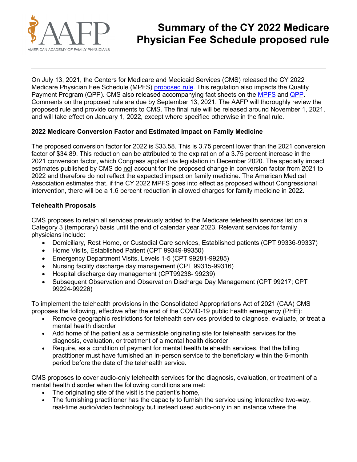

# **Summary of the CY 2022 Medicare Physician Fee Schedule proposed rule**

On July 13, 2021, the Centers for Medicare and Medicaid Services (CMS) released the CY 2022 Medicare Physician Fee Schedule (MPFS) [proposed rule.](https://www.federalregister.gov/public-inspection/current) This regulation also impacts the Quality Payment Program (QPP). CMS also released accompanying fact sheets on the [MPFS](https://www.cms.gov/newsroom/fact-sheets/calendar-year-cy-2022-medicare-physician-fee-schedule-proposed-rule) and [QPP.](https://qpp-cm-prod-content.s3.amazonaws.com/uploads/1517/2022%20QPP%20Proposed%20Rule%20Overview%20Fact%20Sheet.pdf) Comments on the proposed rule are due by September 13, 2021. The AAFP will thoroughly review the proposed rule and provide comments to CMS. The final rule will be released around November 1, 2021, and will take effect on January 1, 2022, except where specified otherwise in the final rule.

# **2022 Medicare Conversion Factor and Estimated Impact on Family Medicine**

The proposed conversion factor for 2022 is \$33.58. This is 3.75 percent lower than the 2021 conversion factor of \$34.89. This reduction can be attributed to the expiration of a 3.75 percent increase in the 2021 conversion factor, which Congress applied via legislation in December 2020. The specialty impact estimates published by CMS do not account for the proposed change in conversion factor from 2021 to 2022 and therefore do not reflect the expected impact on family medicine. The American Medical Association estimates that, if the CY 2022 MPFS goes into effect as proposed without Congressional intervention, there will be a 1.6 percent reduction in allowed charges for family medicine in 2022.

#### **Telehealth Proposals**

CMS proposes to retain all services previously added to the Medicare telehealth services list on a Category 3 (temporary) basis until the end of calendar year 2023. Relevant services for family physicians include:

- Domiciliary, Rest Home, or Custodial Care services, Established patients (CPT 99336-99337)
- Home Visits, Established Patient (CPT 99349-99350)
- Emergency Department Visits, Levels 1-5 (CPT 99281-99285)
- Nursing facility discharge day management (CPT 99315-99316)
- Hospital discharge day management (CPT99238- 99239)
- Subsequent Observation and Observation Discharge Day Management (CPT 99217; CPT 99224-99226)

To implement the telehealth provisions in the Consolidated Appropriations Act of 2021 (CAA) CMS proposes the following, effective after the end of the COVID-19 public health emergency (PHE):

- Remove geographic restrictions for telehealth services provided to diagnose, evaluate, or treat a mental health disorder
- Add home of the patient as a permissible originating site for telehealth services for the diagnosis, evaluation, or treatment of a mental health disorder
- Require, as a condition of payment for mental health telehealth services, that the billing practitioner must have furnished an in-person service to the beneficiary within the 6-month period before the date of the telehealth service.

CMS proposes to cover audio-only telehealth services for the diagnosis, evaluation, or treatment of a mental health disorder when the following conditions are met:

- The originating site of the visit is the patient's home.
- The furnishing practitioner has the capacity to furnish the service using interactive two-way, real-time audio/video technology but instead used audio-only in an instance where the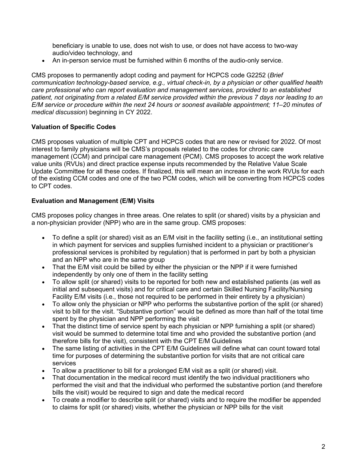beneficiary is unable to use, does not wish to use, or does not have access to two-way audio/video technology, and

• An in-person service must be furnished within 6 months of the audio-only service.

CMS proposes to permanently adopt coding and payment for HCPCS code G2252 (*Brief communication technology-based service, e.g., virtual check-in, by a physician or other qualified health care professional who can report evaluation and management services, provided to an established patient, not originating from a related E/M service provided within the previous 7 days nor leading to an E/M service or procedure within the next 24 hours or soonest available appointment; 11–20 minutes of medical discussion*) beginning in CY 2022.

# **Valuation of Specific Codes**

CMS proposes valuation of multiple CPT and HCPCS codes that are new or revised for 2022. Of most interest to family physicians will be CMS's proposals related to the codes for chronic care management (CCM) and principal care management (PCM). CMS proposes to accept the work relative value units (RVUs) and direct practice expense inputs recommended by the Relative Value Scale Update Committee for all these codes. If finalized, this will mean an increase in the work RVUs for each of the existing CCM codes and one of the two PCM codes, which will be converting from HCPCS codes to CPT codes.

# **Evaluation and Management (E/M) Visits**

CMS proposes policy changes in three areas. One relates to split (or shared) visits by a physician and a non-physician provider (NPP) who are in the same group. CMS proposes:

- To define a split (or shared) visit as an E/M visit in the facility setting (i.e., an institutional setting in which payment for services and supplies furnished incident to a physician or practitioner's professional services is prohibited by regulation) that is performed in part by both a physician and an NPP who are in the same group
- That the E/M visit could be billed by either the physician or the NPP if it were furnished independently by only one of them in the facility setting
- To allow split (or shared) visits to be reported for both new and established patients (as well as initial and subsequent visits) and for critical care and certain Skilled Nursing Facility/Nursing Facility E/M visits (i.e., those not required to be performed in their entirety by a physician)
- To allow only the physician or NPP who performs the substantive portion of the split (or shared) visit to bill for the visit. "Substantive portion" would be defined as more than half of the total time spent by the physician and NPP performing the visit
- That the distinct time of service spent by each physician or NPP furnishing a split (or shared) visit would be summed to determine total time and who provided the substantive portion (and therefore bills for the visit), consistent with the CPT E/M Guidelines
- The same listing of activities in the CPT E/M Guidelines will define what can count toward total time for purposes of determining the substantive portion for visits that are not critical care services
- To allow a practitioner to bill for a prolonged E/M visit as a split (or shared) visit.
- That documentation in the medical record must identify the two individual practitioners who performed the visit and that the individual who performed the substantive portion (and therefore bills the visit) would be required to sign and date the medical record
- To create a modifier to describe split (or shared) visits and to require the modifier be appended to claims for split (or shared) visits, whether the physician or NPP bills for the visit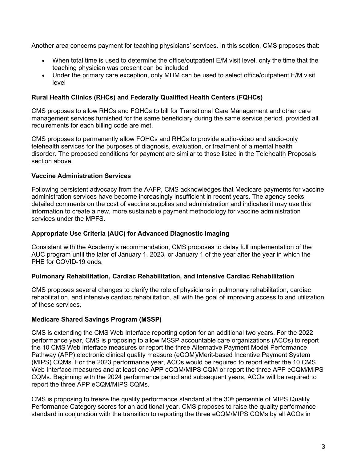Another area concerns payment for teaching physicians' services. In this section, CMS proposes that:

- When total time is used to determine the office/outpatient E/M visit level, only the time that the teaching physician was present can be included
- Under the primary care exception, only MDM can be used to select office/outpatient E/M visit level

# **Rural Health Clinics (RHCs) and Federally Qualified Health Centers (FQHCs)**

CMS proposes to allow RHCs and FQHCs to bill for Transitional Care Management and other care management services furnished for the same beneficiary during the same service period, provided all requirements for each billing code are met.

CMS proposes to permanently allow FQHCs and RHCs to provide audio-video and audio-only telehealth services for the purposes of diagnosis, evaluation, or treatment of a mental health disorder. The proposed conditions for payment are similar to those listed in the Telehealth Proposals section above.

# **Vaccine Administration Services**

Following persistent advocacy from the AAFP, CMS acknowledges that Medicare payments for vaccine administration services have become increasingly insufficient in recent years. The agency seeks detailed comments on the cost of vaccine supplies and administration and indicates it may use this information to create a new, more sustainable payment methodology for vaccine administration services under the MPFS.

### **Appropriate Use Criteria (AUC) for Advanced Diagnostic Imaging**

Consistent with the Academy's recommendation, CMS proposes to delay full implementation of the AUC program until the later of January 1, 2023, or January 1 of the year after the year in which the PHE for COVID-19 ends.

#### **Pulmonary Rehabilitation, Cardiac Rehabilitation, and Intensive Cardiac Rehabilitation**

CMS proposes several changes to clarify the role of physicians in pulmonary rehabilitation, cardiac rehabilitation, and intensive cardiac rehabilitation, all with the goal of improving access to and utilization of these services.

#### **Medicare Shared Savings Program (MSSP)**

CMS is extending the CMS Web Interface reporting option for an additional two years. For the 2022 performance year, CMS is proposing to allow MSSP accountable care organizations (ACOs) to report the 10 CMS Web Interface measures or report the three Alternative Payment Model Performance Pathway (APP) electronic clinical quality measure (eCQM)/Merit-based Incentive Payment System (MIPS) CQMs. For the 2023 performance year, ACOs would be required to report either the 10 CMS Web Interface measures and at least one APP eCQM/MIPS CQM or report the three APP eCQM/MIPS CQMs. Beginning with the 2024 performance period and subsequent years, ACOs will be required to report the three APP eCQM/MIPS CQMs.

CMS is proposing to freeze the quality performance standard at the  $30<sup>th</sup>$  percentile of MIPS Quality Performance Category scores for an additional year. CMS proposes to raise the quality performance standard in conjunction with the transition to reporting the three eCQM/MIPS CQMs by all ACOs in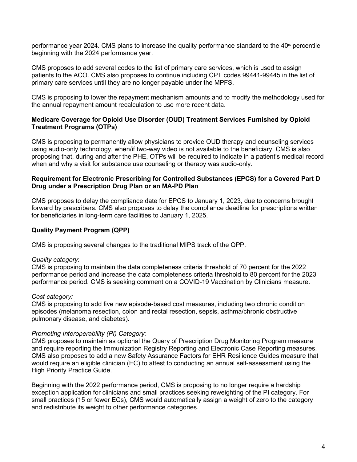performance year 2024. CMS plans to increase the quality performance standard to the  $40<sup>th</sup>$  percentile beginning with the 2024 performance year.

CMS proposes to add several codes to the list of primary care services, which is used to assign patients to the ACO. CMS also proposes to continue including CPT codes 99441-99445 in the list of primary care services until they are no longer payable under the MPFS.

CMS is proposing to lower the repayment mechanism amounts and to modify the methodology used for the annual repayment amount recalculation to use more recent data.

#### **Medicare Coverage for Opioid Use Disorder (OUD) Treatment Services Furnished by Opioid Treatment Programs (OTPs)**

CMS is proposing to permanently allow physicians to provide OUD therapy and counseling services using audio-only technology, when/if two-way video is not available to the beneficiary. CMS is also proposing that, during and after the PHE, OTPs will be required to indicate in a patient's medical record when and why a visit for substance use counseling or therapy was audio-only.

#### **Requirement for Electronic Prescribing for Controlled Substances (EPCS) for a Covered Part D Drug under a Prescription Drug Plan or an MA-PD Plan**

CMS proposes to delay the compliance date for EPCS to January 1, 2023, due to concerns brought forward by prescribers. CMS also proposes to delay the compliance deadline for prescriptions written for beneficiaries in long-term care facilities to January 1, 2025.

# **Quality Payment Program (QPP)**

CMS is proposing several changes to the traditional MIPS track of the QPP.

#### *Quality category*:

CMS is proposing to maintain the data completeness criteria threshold of 70 percent for the 2022 performance period and increase the data completeness criteria threshold to 80 percent for the 2023 performance period. CMS is seeking comment on a COVID-19 Vaccination by Clinicians measure.

#### *Cost category:*

CMS is proposing to add five new episode-based cost measures, including two chronic condition episodes (melanoma resection, colon and rectal resection, sepsis, asthma/chronic obstructive pulmonary disease, and diabetes).

#### *Promoting Interoperability (PI) Category:*

CMS proposes to maintain as optional the Query of Prescription Drug Monitoring Program measure and require reporting the Immunization Registry Reporting and Electronic Case Reporting measures. CMS also proposes to add a new Safety Assurance Factors for EHR Resilience Guides measure that would require an eligible clinician (EC) to attest to conducting an annual self-assessment using the High Priority Practice Guide.

Beginning with the 2022 performance period, CMS is proposing to no longer require a hardship exception application for clinicians and small practices seeking reweighting of the PI category. For small practices (15 or fewer ECs), CMS would automatically assign a weight of zero to the category and redistribute its weight to other performance categories.